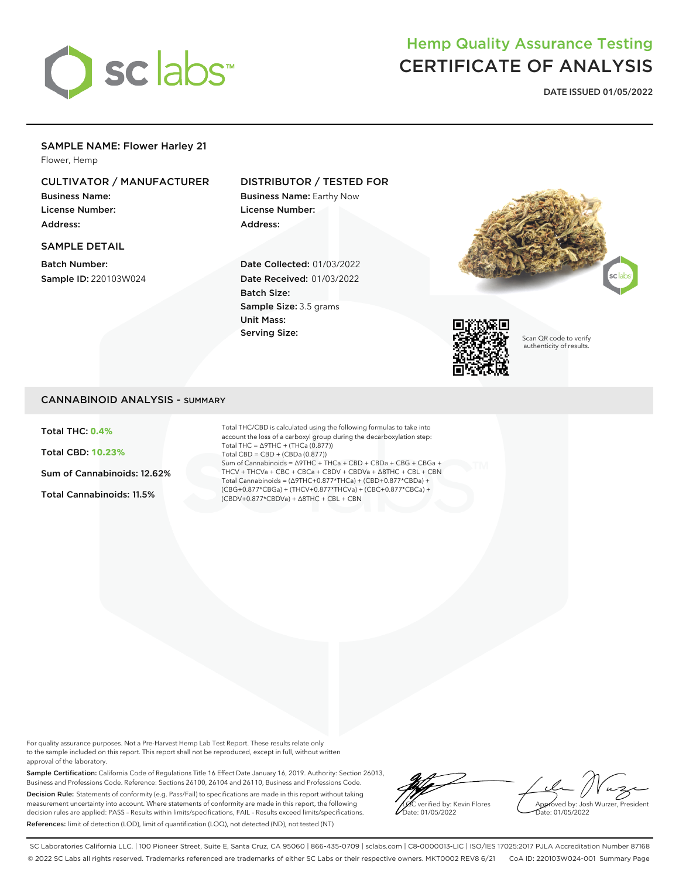

# Hemp Quality Assurance Testing CERTIFICATE OF ANALYSIS

**DATE ISSUED 01/05/2022**

## SAMPLE NAME: Flower Harley 21

Flower, Hemp

# CULTIVATOR / MANUFACTURER

Business Name: License Number: Address:

#### SAMPLE DETAIL

Batch Number: Sample ID: 220103W024

# DISTRIBUTOR / TESTED FOR

Business Name: Earthy Now License Number: Address:

Date Collected: 01/03/2022 Date Received: 01/03/2022 Batch Size: Sample Size: 3.5 grams Unit Mass: Serving Size:





Scan QR code to verify authenticity of results.

### CANNABINOID ANALYSIS - SUMMARY

Total THC: **0.4%**

Total CBD: **10.23%**

Sum of Cannabinoids: 12.62%

Total Cannabinoids: 11.5%

Total THC/CBD is calculated using the following formulas to take into account the loss of a carboxyl group during the decarboxylation step: Total THC = ∆9THC + (THCa (0.877)) Total CBD = CBD + (CBDa (0.877)) Sum of Cannabinoids = ∆9THC + THCa + CBD + CBDa + CBG + CBGa + THCV + THCVa + CBC + CBCa + CBDV + CBDVa + ∆8THC + CBL + CBN Total Cannabinoids = (∆9THC+0.877\*THCa) + (CBD+0.877\*CBDa) + (CBG+0.877\*CBGa) + (THCV+0.877\*THCVa) + (CBC+0.877\*CBCa) + (CBDV+0.877\*CBDVa) + ∆8THC + CBL + CBN

For quality assurance purposes. Not a Pre-Harvest Hemp Lab Test Report. These results relate only to the sample included on this report. This report shall not be reproduced, except in full, without written approval of the laboratory.

Sample Certification: California Code of Regulations Title 16 Effect Date January 16, 2019. Authority: Section 26013, Business and Professions Code. Reference: Sections 26100, 26104 and 26110, Business and Professions Code. Decision Rule: Statements of conformity (e.g. Pass/Fail) to specifications are made in this report without taking measurement uncertainty into account. Where statements of conformity are made in this report, the following decision rules are applied: PASS – Results within limits/specifications, FAIL – Results exceed limits/specifications. References: limit of detection (LOD), limit of quantification (LOQ), not detected (ND), not tested (NT)

LQC verified by: Kevin Flores ate: 01/05/2022

Approved by: Josh Wurzer, President Date: 01/05/2022

SC Laboratories California LLC. | 100 Pioneer Street, Suite E, Santa Cruz, CA 95060 | 866-435-0709 | sclabs.com | C8-0000013-LIC | ISO/IES 17025:2017 PJLA Accreditation Number 87168 © 2022 SC Labs all rights reserved. Trademarks referenced are trademarks of either SC Labs or their respective owners. MKT0002 REV8 6/21 CoA ID: 220103W024-001 Summary Page